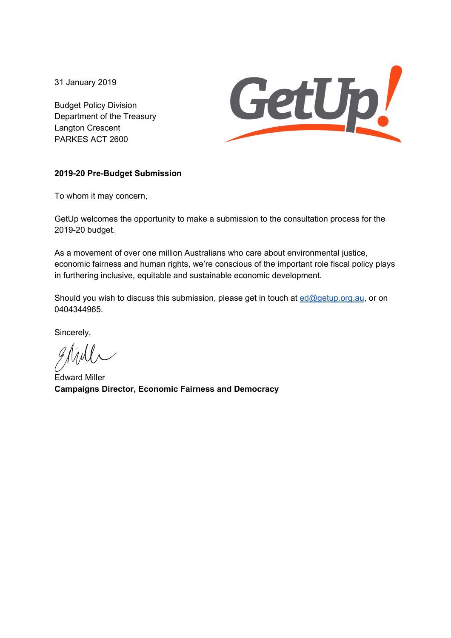31 January 2019

Budget Policy Division Department of the Treasury Langton Crescent PARKES ACT 2600



#### **2019-20 Pre-Budget Submission**

To whom it may concern,

GetUp welcomes the opportunity to make a submission to the consultation process for the 2019-20 budget.

As a movement of over one million Australians who care about environmental justice, economic fairness and human rights, we're conscious of the important role fiscal policy plays in furthering inclusive, equitable and sustainable economic development.

Should you wish to discuss this submission, please get in touch at ed@getup.org.au, or on 0404344965.

Sincerely,

glinh

Edward Miller **Campaigns Director, Economic Fairness and Democracy**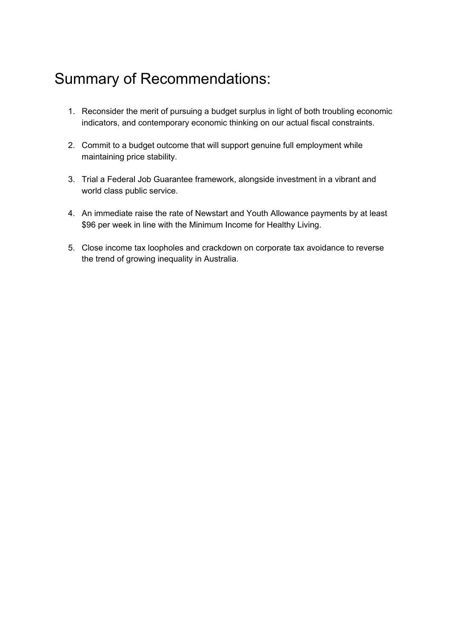# Summary of Recommendations:

- 1. Reconsider the merit of pursuing a budget surplus in light of both troubling economic indicators, and contemporary economic thinking on our actual fiscal constraints.
- 2. Commit to a budget outcome that will support genuine full employment while maintaining price stability.
- 3. Trial a Federal Job Guarantee framework, alongside investment in a vibrant and world class public service.
- 4. An immediate raise the rate of Newstart and Youth Allowance payments by at least \$96 per week in line with the Minimum Income for Healthy Living.
- 5. Close income tax loopholes and crackdown on corporate tax avoidance to reverse the trend of growing inequality in Australia.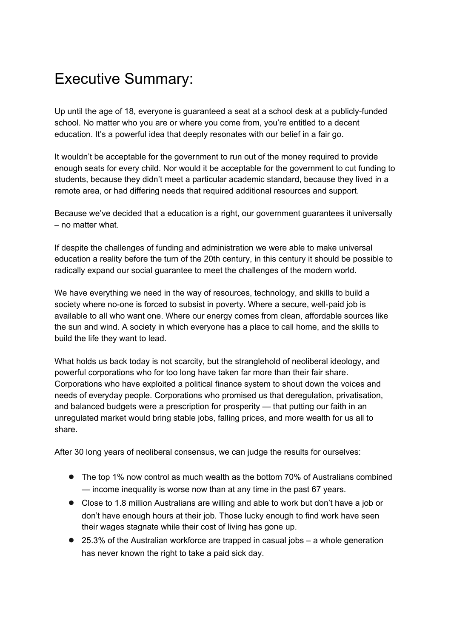# Executive Summary:

Up until the age of 18, everyone is guaranteed a seat at a school desk at a publicly-funded school. No matter who you are or where you come from, you're entitled to a decent education. It's a powerful idea that deeply resonates with our belief in a fair go.

It wouldn't be acceptable for the government to run out of the money required to provide enough seats for every child. Nor would it be acceptable for the government to cut funding to students, because they didn't meet a particular academic standard, because they lived in a remote area, or had differing needs that required additional resources and support.

Because we've decided that a education is a right, our government guarantees it universally – no matter what.

If despite the challenges of funding and administration we were able to make universal education a reality before the turn of the 20th century, in this century it should be possible to radically expand our social guarantee to meet the challenges of the modern world.

We have everything we need in the way of resources, technology, and skills to build a society where no-one is forced to subsist in poverty. Where a secure, well-paid job is available to all who want one. Where our energy comes from clean, affordable sources like the sun and wind. A society in which everyone has a place to call home, and the skills to build the life they want to lead.

What holds us back today is not scarcity, but the stranglehold of neoliberal ideology, and powerful corporations who for too long have taken far more than their fair share. Corporations who have exploited a political finance system to shout down the voices and needs of everyday people. Corporations who promised us that deregulation, privatisation, and balanced budgets were a prescription for prosperity — that putting our faith in an unregulated market would bring stable jobs, falling prices, and more wealth for us all to share.

After 30 long years of neoliberal consensus, we can judge the results for ourselves:

- The top 1% now control as much wealth as the bottom 70% of Australians combined — income inequality is worse now than at any time in the past 67 years.
- Close to 1.8 million Australians are willing and able to work but don't have a job or don't have enough hours at their job. Those lucky enough to find work have seen their wages stagnate while their cost of living has gone up.
- 25.3% of the Australian workforce are trapped in casual jobs a whole generation has never known the right to take a paid sick day.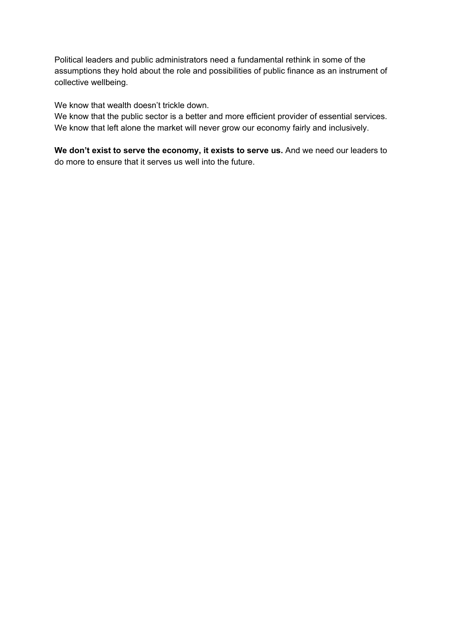Political leaders and public administrators need a fundamental rethink in some of the assumptions they hold about the role and possibilities of public finance as an instrument of collective wellbeing.

We know that wealth doesn't trickle down.

We know that the public sector is a better and more efficient provider of essential services. We know that left alone the market will never grow our economy fairly and inclusively.

**We don't exist to serve the economy, it exists to serve us.** And we need our leaders to do more to ensure that it serves us well into the future.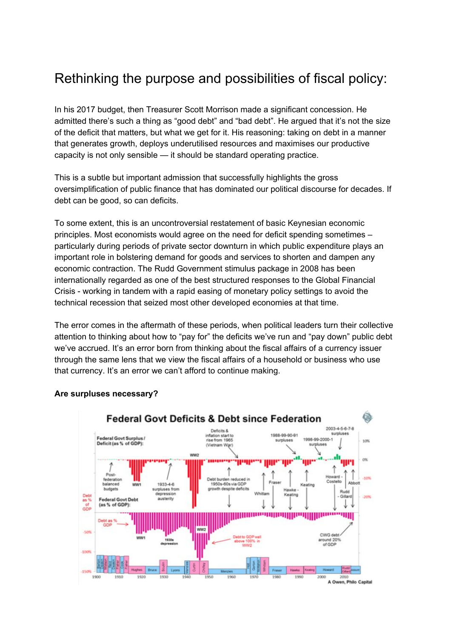## Rethinking the purpose and possibilities of fiscal policy:

In his 2017 budget, then Treasurer Scott Morrison made a significant concession. He admitted there's such a thing as "good debt" and "bad debt". He argued that it's not the size of the deficit that matters, but what we get for it. His reasoning: taking on debt in a manner that generates growth, deploys underutilised resources and maximises our productive capacity is not only sensible — it should be standard operating practice.

This is a subtle but important admission that successfully highlights the gross oversimplification of public finance that has dominated our political discourse for decades. If debt can be good, so can deficits.

To some extent, this is an uncontroversial restatement of basic Keynesian economic principles. Most economists would agree on the need for deficit spending sometimes – particularly during periods of private sector downturn in which public expenditure plays an important role in bolstering demand for goods and services to shorten and dampen any economic contraction. The Rudd Government stimulus package in 2008 has been internationally regarded as one of the best structured responses to the Global Financial Crisis - working in tandem with a rapid easing of monetary policy settings to avoid the technical recession that seized most other developed economies at that time.

The error comes in the aftermath of these periods, when political leaders turn their collective attention to thinking about how to "pay for" the deficits we've run and "pay down" public debt we've accrued. It's an error born from thinking about the fiscal affairs of a currency issuer through the same lens that we view the fiscal affairs of a household or business who use that currency. It's an error we can't afford to continue making.



#### **Are surpluses necessary?**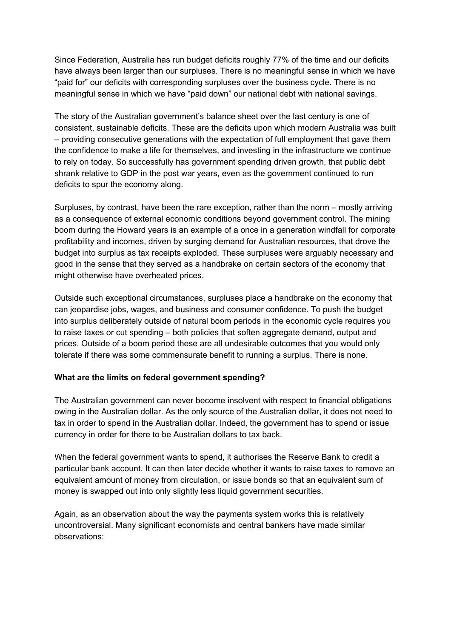Since Federation, Australia has run budget deficits roughly 77% of the time and our deficits have always been larger than our surpluses. There is no meaningful sense in which we have "paid for" our deficits with corresponding surpluses over the business cycle. There is no meaningful sense in which we have "paid down" our national debt with national savings.

The story of the Australian government's balance sheet over the last century is one of consistent, sustainable deficits. These are the deficits upon which modern Australia was built – providing consecutive generations with the expectation of full employment that gave them the confidence to make a life for themselves, and investing in the infrastructure we continue to rely on today. So successfully has government spending driven growth, that public debt shrank relative to GDP in the post war years, even as the government continued to run deficits to spur the economy along.

Surpluses, by contrast, have been the rare exception, rather than the norm – mostly arriving as a consequence of external economic conditions beyond government control. The mining boom during the Howard years is an example of a once in a generation windfall for corporate profitability and incomes, driven by surging demand for Australian resources, that drove the budget into surplus as tax receipts exploded. These surpluses were arguably necessary and good in the sense that they served as a handbrake on certain sectors of the economy that might otherwise have overheated prices.

Outside such exceptional circumstances, surpluses place a handbrake on the economy that can jeopardise jobs, wages, and business and consumer confidence. To push the budget into surplus deliberately outside of natural boom periods in the economic cycle requires you to raise taxes or cut spending – both policies that soften aggregate demand, output and prices. Outside of a boom period these are all undesirable outcomes that you would only tolerate if there was some commensurate benefit to running a surplus. There is none.

#### **What are the limits on federal government spending?**

The Australian government can never become insolvent with respect to financial obligations owing in the Australian dollar. As the only source of the Australian dollar, it does not need to tax in order to spend in the Australian dollar. Indeed, the government has to spend or issue currency in order for there to be Australian dollars to tax back.

When the federal government wants to spend, it authorises the Reserve Bank to credit a particular bank account. It can then later decide whether it wants to raise taxes to remove an equivalent amount of money from circulation, or issue bonds so that an equivalent sum of money is swapped out into only slightly less liquid government securities.

Again, as an observation about the way the payments system works this is relatively uncontroversial. Many significant economists and central bankers have made similar observations: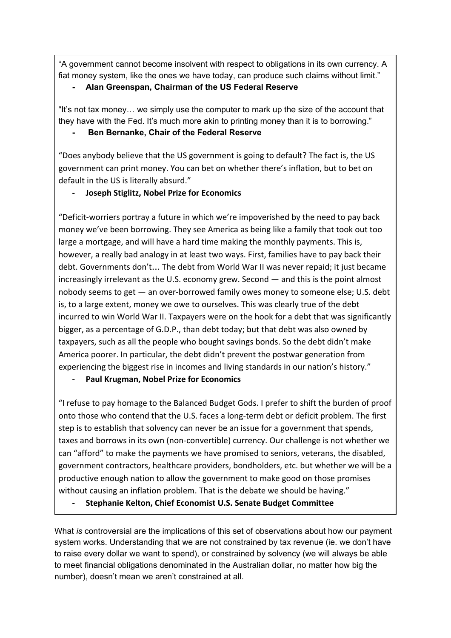"A government cannot become insolvent with respect to obligations in its own currency. A fiat money system, like the ones we have today, can produce such claims without limit."

#### **- Alan Greenspan, Chairman of the US Federal Reserve**

"It's not tax money… we simply use the computer to mark up the size of the account that they have with the Fed. It's much more akin to printing money than it is to borrowing."

#### **- Ben Bernanke, Chair of the Federal Reserve**

"Does anybody believe that the US government is going to default? The fact is, the US government can print money. You can bet on whether there's inflation, but to bet on default in the US is literally absurd."

#### Joseph Stiglitz, Nobel Prize for Economics

"Deficit-worriers portray a future in which we're impoverished by the need to pay back money we've been borrowing. They see America as being like a family that took out too large a mortgage, and will have a hard time making the monthly payments. This is, however, a really bad analogy in at least two ways. First, families have to pay back their debt. Governments don't… The debt from World War II was never repaid; it just became increasingly irrelevant as the U.S. economy grew. Second — and this is the point almost nobody seems to get — an over-borrowed family owes money to someone else; U.S. debt is, to a large extent, money we owe to ourselves. This was clearly true of the debt incurred to win World War II. Taxpayers were on the hook for a debt that was significantly bigger, as a percentage of G.D.P., than debt today; but that debt was also owned by taxpayers, such as all the people who bought savings bonds. So the debt didn't make America poorer. In particular, the debt didn't prevent the postwar generation from experiencing the biggest rise in incomes and living standards in our nation's history."

#### - Paul Krugman, Nobel Prize for Economics

"I refuse to pay homage to the Balanced Budget Gods. I prefer to shift the burden of proof onto those who contend that the U.S. faces a long-term debt or deficit problem. The first step is to establish that solvency can never be an issue for a government that spends, taxes and borrows in its own (non-convertible) currency. Our challenge is not whether we can "afford" to make the payments we have promised to seniors, veterans, the disabled, government contractors, healthcare providers, bondholders, etc. but whether we will be a productive enough nation to allow the government to make good on those promises without causing an inflation problem. That is the debate we should be having."

Stephanie Kelton, Chief Economist U.S. Senate Budget Committee

What *is* controversial are the implications of this set of observations about how our payment system works. Understanding that we are not constrained by tax revenue (ie. we don't have to raise every dollar we want to spend), or constrained by solvency (we will always be able to meet financial obligations denominated in the Australian dollar, no matter how big the number), doesn't mean we aren't constrained at all.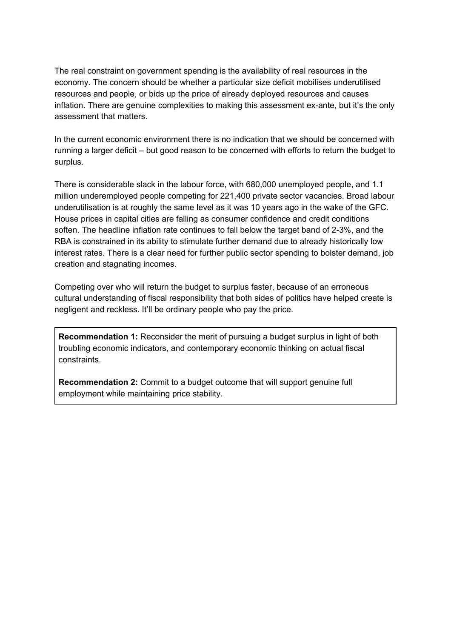The real constraint on government spending is the availability of real resources in the economy. The concern should be whether a particular size deficit mobilises underutilised resources and people, or bids up the price of already deployed resources and causes inflation. There are genuine complexities to making this assessment ex-ante, but it's the only assessment that matters.

In the current economic environment there is no indication that we should be concerned with running a larger deficit – but good reason to be concerned with efforts to return the budget to surplus.

There is considerable slack in the labour force, with 680,000 unemployed people, and 1.1 million underemployed people competing for 221,400 private sector vacancies. Broad labour underutilisation is at roughly the same level as it was 10 years ago in the wake of the GFC. House prices in capital cities are falling as consumer confidence and credit conditions soften. The headline inflation rate continues to fall below the target band of 2-3%, and the RBA is constrained in its ability to stimulate further demand due to already historically low interest rates. There is a clear need for further public sector spending to bolster demand, job creation and stagnating incomes.

Competing over who will return the budget to surplus faster, because of an erroneous cultural understanding of fiscal responsibility that both sides of politics have helped create is negligent and reckless. It'll be ordinary people who pay the price.

**Recommendation 1:** Reconsider the merit of pursuing a budget surplus in light of both troubling economic indicators, and contemporary economic thinking on actual fiscal constraints.

**Recommendation 2:** Commit to a budget outcome that will support genuine full employment while maintaining price stability.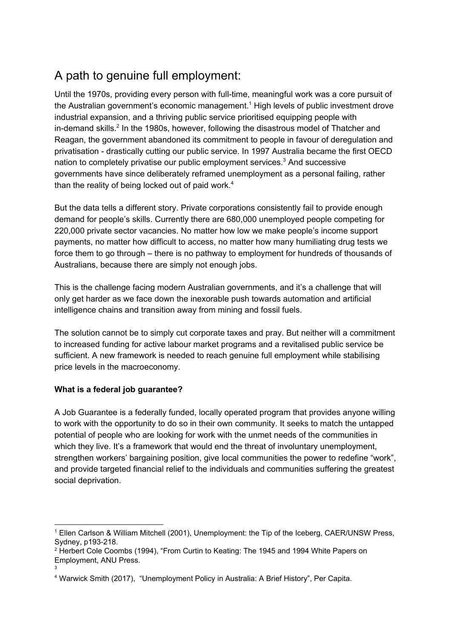## A path to genuine full employment:

Until the 1970s, providing every person with full-time, meaningful work was a core pursuit of the Australian government's economic management.<sup>1</sup> High levels of public investment drove industrial expansion, and a thriving public service prioritised equipping people with in-demand skills.<sup>2</sup> In the 1980s, however, following the disastrous model of Thatcher and Reagan, the government abandoned its commitment to people in favour of deregulation and privatisation - drastically cutting our public service. In 1997 Australia became the first OECD nation to completely privatise our public employment services.<sup>3</sup> And successive governments have since deliberately reframed unemployment as a personal failing, rather than the reality of being locked out of paid work.<sup>4</sup>

But the data tells a different story. Private corporations consistently fail to provide enough demand for people's skills. Currently there are 680,000 unemployed people competing for 220,000 private sector vacancies. No matter how low we make people's income support payments, no matter how difficult to access, no matter how many humiliating drug tests we force them to go through – there is no pathway to employment for hundreds of thousands of Australians, because there are simply not enough jobs.

This is the challenge facing modern Australian governments, and it's a challenge that will only get harder as we face down the inexorable push towards automation and artificial intelligence chains and transition away from mining and fossil fuels.

The solution cannot be to simply cut corporate taxes and pray. But neither will a commitment to increased funding for active labour market programs and a revitalised public service be sufficient. A new framework is needed to reach genuine full employment while stabilising price levels in the macroeconomy.

#### **What is a federal job guarantee?**

A Job Guarantee is a federally funded, locally operated program that provides anyone willing to work with the opportunity to do so in their own community. It seeks to match the untapped potential of people who are looking for work with the unmet needs of the communities in which they live. It's a framework that would end the threat of involuntary unemployment, strengthen workers' bargaining position, give local communities the power to redefine "work", and provide targeted financial relief to the individuals and communities suffering the greatest social deprivation.

<sup>1</sup> Ellen Carlson & William Mitchell (2001), Unemployment: the Tip of the Iceberg, CAER/UNSW Press, Sydney, p193-218.

<sup>&</sup>lt;sup>2</sup> Herbert Cole Coombs (1994), "From Curtin to Keating: The 1945 and 1994 White Papers on Employment, ANU Press. 3

<sup>4</sup> Warwick Smith (2017), "Unemployment Policy in Australia: A Brief History", Per Capita.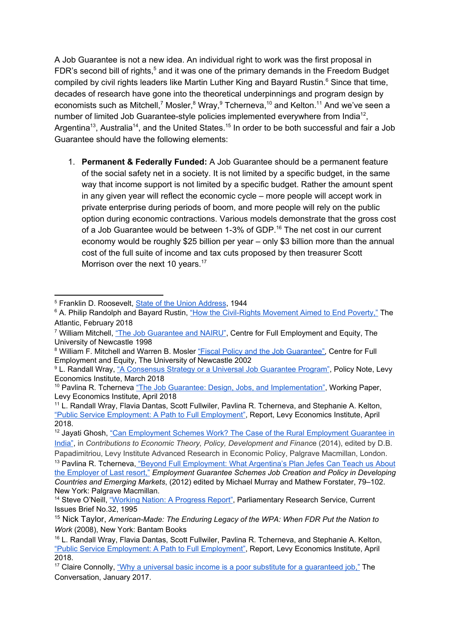A Job Guarantee is not a new idea. An individual right to work was the first proposal in FDR's second bill of rights,<sup>5</sup> and it was one of the primary demands in the Freedom Budget compiled by civil rights leaders like Martin Luther King and Bayard Rustin.<sup>6</sup> Since that time, decades of research have gone into the theoretical underpinnings and program design by economists such as Mitchell,<sup>7</sup> Mosler, <sup>8</sup> Wray,  $9$  Tcherneva,  $10$  and Kelton.  $11$  And we've seen a number of limited Job Guarantee-style policies implemented everywhere from India<sup>12</sup>. Argentina<sup>13</sup>, Australia<sup>14</sup>, and the United States.<sup>15</sup> In order to be both successful and fair a Job Guarantee should have the following elements:

1. **Permanent & Federally Funded:** A Job Guarantee should be a permanent feature of the social safety net in a society. It is not limited by a specific budget, in the same way that income support is not limited by a specific budget. Rather the amount spent in any given year will reflect the economic cycle – more people will accept work in private enterprise during periods of boom, and more people will rely on the public option during economic contractions. Various models demonstrate that the gross cost of a Job Guarantee would be between 1-3% of GDP.<sup>16</sup> The net cost in our current economy would be roughly \$25 billion per year – only \$3 billion more than the annual cost of the full suite of income and tax cuts proposed by then treasurer Scott Morrison over the next 10 years.<sup>17</sup>

<sup>5</sup> Franklin D. Roosevelt, State of the Union Address, 1944

<sup>&</sup>lt;sup>6</sup> A. Philip Randolph and Bayard Rustin, "How the Civil-Rights Movement Aimed to End Poverty," The Atlantic, February 2018

<sup>&</sup>lt;sup>7</sup> William Mitchell, "The Job Guarantee and NAIRU", Centre for Full Employment and Equity, The University of Newcastle 1998

<sup>&</sup>lt;sup>8</sup> William F. Mitchell and Warren B. Mosler "Fiscal Policy and the Job Guarantee", Centre for Full Employment and Equity, The University of Newcastle 2002

<sup>9</sup> L. Randall Wray, "A Consensus Strategy or a Universal Job Guarantee Program", Policy Note, Levy Economics Institute, March 2018

<sup>&</sup>lt;sup>10</sup> Pavlina R. Tcherneva "The Job Guarantee: Design, Jobs, and Implementation", Working Paper, Levy Economics Institute, April 2018

<sup>11</sup> L. Randall Wray, Flavia Dantas, Scott Fullwiler, Pavlina R. Tcherneva, and Stephanie A. Kelton, "Public Service Employment: A Path to Full Employment", Report, Levy Economics Institute, April 2018.

<sup>&</sup>lt;sup>12</sup> Jayati Ghosh, "Can Employment Schemes Work? The Case of the Rural Employment Guarantee in India", in *Contributions to Economic Theory, Policy, Development and Financ*e (2014), edited by D.B. Papadimitriou, Levy Institute Advanced Research in Economic Policy, Palgrave Macmillan, London.

<sup>&</sup>lt;sup>13</sup> Pavlina R. Tcherneva, "Beyond Full Employment: What Argentina's Plan Jefes Can Teach us About the Employer of Last resort," *Employment Guarantee Schemes Job Creation and Policy in Developing Countries and Emerging Markets*, (2012) edited by Michael Murray and Mathew Forstater, 79–102. New York: Palgrave Macmillan.

<sup>&</sup>lt;sup>14</sup> Steve O'Neill, "Working Nation: A Progress Report", Parliamentary Research Service, Current Issues Brief No.32, 1995

<sup>15</sup> Nick Taylor, *American-Made: The Enduring Legacy of the WPA: When FDR Put the Nation to Work* (2008), New York: Bantam Books

<sup>&</sup>lt;sup>16</sup> L. Randall Wray, Flavia Dantas, Scott Fullwiler, Pavlina R. Tcherneva, and Stephanie A. Kelton, "Public Service Employment: A Path to Full Employment", Report, Levy Economics Institute, April 2018.

<sup>&</sup>lt;sup>17</sup> Claire Connolly, "Why a universal basic income is a poor substitute for a guaranteed job," The Conversation, January 2017.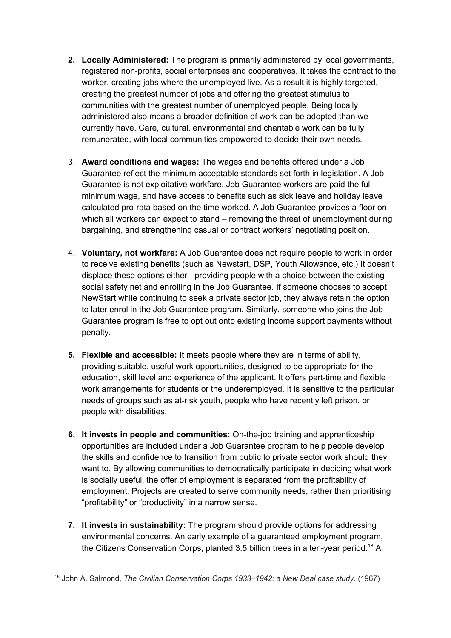- **2. Locally Administered:** The program is primarily administered by local governments, registered non-profits, social enterprises and cooperatives. It takes the contract to the worker, creating jobs where the unemployed live. As a result it is highly targeted, creating the greatest number of jobs and offering the greatest stimulus to communities with the greatest number of unemployed people. Being locally administered also means a broader definition of work can be adopted than we currently have. Care, cultural, environmental and charitable work can be fully remunerated, with local communities empowered to decide their own needs.
- 3. **Award conditions and wages:** The wages and benefits offered under a Job Guarantee reflect the minimum acceptable standards set forth in legislation. A Job Guarantee is not exploitative workfare. Job Guarantee workers are paid the full minimum wage, and have access to benefits such as sick leave and holiday leave calculated pro-rata based on the time worked. A Job Guarantee provides a floor on which all workers can expect to stand – removing the threat of unemployment during bargaining, and strengthening casual or contract workers' negotiating position.
- 4. **Voluntary, not workfare:** A Job Guarantee does not require people to work in order to receive existing benefits (such as Newstart, DSP, Youth Allowance, etc.) It doesn't displace these options either - providing people with a choice between the existing social safety net and enrolling in the Job Guarantee. If someone chooses to accept NewStart while continuing to seek a private sector job, they always retain the option to later enrol in the Job Guarantee program. Similarly, someone who joins the Job Guarantee program is free to opt out onto existing income support payments without penalty.
- **5. Flexible and accessible:** It meets people where they are in terms of ability, providing suitable, useful work opportunities, designed to be appropriate for the education, skill level and experience of the applicant. It offers part-time and flexible work arrangements for students or the underemployed. It is sensitive to the particular needs of groups such as at-risk youth, people who have recently left prison, or people with disabilities.
- **6. It invests in people and communities:** On-the-job training and apprenticeship opportunities are included under a Job Guarantee program to help people develop the skills and confidence to transition from public to private sector work should they want to. By allowing communities to democratically participate in deciding what work is socially useful, the offer of employment is separated from the profitability of employment. Projects are created to serve community needs, rather than prioritising "profitability" or "productivity" in a narrow sense.
- **7. It invests in sustainability:** The program should provide options for addressing environmental concerns. An early example of a guaranteed employment program, the Citizens Conservation Corps, planted 3.5 billion trees in a ten-year period.<sup>18</sup> A

<sup>18</sup> John A. Salmond, *The Civilian Conservation Corps 1933–1942: a New Deal case study.* (1967)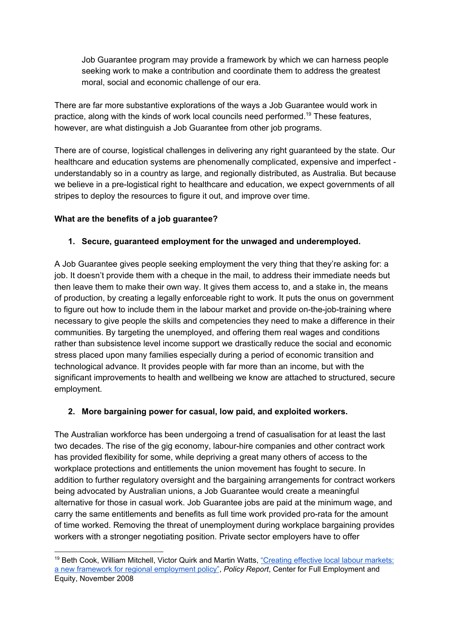Job Guarantee program may provide a framework by which we can harness people seeking work to make a contribution and coordinate them to address the greatest moral, social and economic challenge of our era.

There are far more substantive explorations of the ways a Job Guarantee would work in practice, along with the kinds of work local councils need performed.<sup>19</sup> These features, however, are what distinguish a Job Guarantee from other job programs.

There are of course, logistical challenges in delivering any right guaranteed by the state. Our healthcare and education systems are phenomenally complicated, expensive and imperfect understandably so in a country as large, and regionally distributed, as Australia. But because we believe in a pre-logistical right to healthcare and education, we expect governments of all stripes to deploy the resources to figure it out, and improve over time.

#### **What are the benefits of a job guarantee?**

#### **1. Secure, guaranteed employment for the unwaged and underemployed.**

A Job Guarantee gives people seeking employment the very thing that they're asking for: a job. It doesn't provide them with a cheque in the mail, to address their immediate needs but then leave them to make their own way. It gives them access to, and a stake in, the means of production, by creating a legally enforceable right to work. It puts the onus on government to figure out how to include them in the labour market and provide on-the-job-training where necessary to give people the skills and competencies they need to make a difference in their communities. By targeting the unemployed, and offering them real wages and conditions rather than subsistence level income support we drastically reduce the social and economic stress placed upon many families especially during a period of economic transition and technological advance. It provides people with far more than an income, but with the significant improvements to health and wellbeing we know are attached to structured, secure employment.

#### **2. More bargaining power for casual, low paid, and exploited workers.**

The Australian workforce has been undergoing a trend of casualisation for at least the last two decades. The rise of the gig economy, labour-hire companies and other contract work has provided flexibility for some, while depriving a great many others of access to the workplace protections and entitlements the union movement has fought to secure. In addition to further regulatory oversight and the bargaining arrangements for contract workers being advocated by Australian unions, a Job Guarantee would create a meaningful alternative for those in casual work. Job Guarantee jobs are paid at the minimum wage, and carry the same entitlements and benefits as full time work provided pro-rata for the amount of time worked. Removing the threat of unemployment during workplace bargaining provides workers with a stronger negotiating position. Private sector employers have to offer

<sup>19</sup> Beth Cook, William Mitchell, Victor Quirk and Martin Watts, "Creating effective local labour markets: a new framework for regional employment policy", *Policy Report*, Center for Full Employment and Equity, November 2008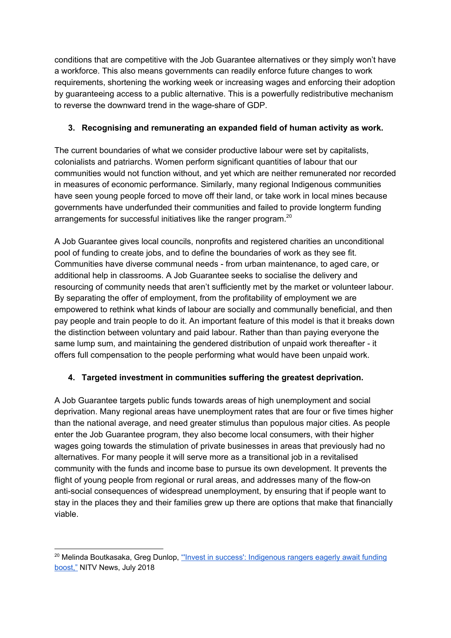conditions that are competitive with the Job Guarantee alternatives or they simply won't have a workforce. This also means governments can readily enforce future changes to work requirements, shortening the working week or increasing wages and enforcing their adoption by guaranteeing access to a public alternative. This is a powerfully redistributive mechanism to reverse the downward trend in the wage-share of GDP.

#### **3. Recognising and remunerating an expanded field of human activity as work.**

The current boundaries of what we consider productive labour were set by capitalists, colonialists and patriarchs. Women perform significant quantities of labour that our communities would not function without, and yet which are neither remunerated nor recorded in measures of economic performance. Similarly, many regional Indigenous communities have seen young people forced to move off their land, or take work in local mines because governments have underfunded their communities and failed to provide longterm funding arrangements for successful initiatives like the ranger program.<sup>20</sup>

A Job Guarantee gives local councils, nonprofits and registered charities an unconditional pool of funding to create jobs, and to define the boundaries of work as they see fit. Communities have diverse communal needs - from urban maintenance, to aged care, or additional help in classrooms. A Job Guarantee seeks to socialise the delivery and resourcing of community needs that aren't sufficiently met by the market or volunteer labour. By separating the offer of employment, from the profitability of employment we are empowered to rethink what kinds of labour are socially and communally beneficial, and then pay people and train people to do it. An important feature of this model is that it breaks down the distinction between voluntary and paid labour. Rather than than paying everyone the same lump sum, and maintaining the gendered distribution of unpaid work thereafter - it offers full compensation to the people performing what would have been unpaid work.

#### **4. Targeted investment in communities suffering the greatest deprivation.**

A Job Guarantee targets public funds towards areas of high unemployment and social deprivation. Many regional areas have unemployment rates that are four or five times higher than the national average, and need greater stimulus than populous major cities. As people enter the Job Guarantee program, they also become local consumers, with their higher wages going towards the stimulation of private businesses in areas that previously had no alternatives. For many people it will serve more as a transitional job in a revitalised community with the funds and income base to pursue its own development. It prevents the flight of young people from regional or rural areas, and addresses many of the flow-on anti-social consequences of widespread unemployment, by ensuring that if people want to stay in the places they and their families grew up there are options that make that financially viable.

<sup>&</sup>lt;sup>20</sup> Melinda Boutkasaka, Greg Dunlop, "Invest in success': Indigenous rangers eagerly await funding boost," NITV News, July 2018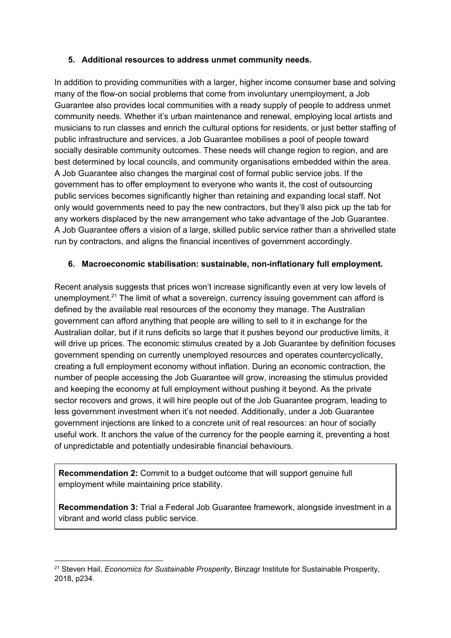#### **5. Additional resources to address unmet community needs.**

In addition to providing communities with a larger, higher income consumer base and solving many of the flow-on social problems that come from involuntary unemployment, a Job Guarantee also provides local communities with a ready supply of people to address unmet community needs. Whether it's urban maintenance and renewal, employing local artists and musicians to run classes and enrich the cultural options for residents, or just better staffing of public infrastructure and services, a Job Guarantee mobilises a pool of people toward socially desirable community outcomes. These needs will change region to region, and are best determined by local councils, and community organisations embedded within the area. A Job Guarantee also changes the marginal cost of formal public service jobs. If the government has to offer employment to everyone who wants it, the cost of outsourcing public services becomes significantly higher than retaining and expanding local staff. Not only would governments need to pay the new contractors, but they'll also pick up the tab for any workers displaced by the new arrangement who take advantage of the Job Guarantee. A Job Guarantee offers a vision of a large, skilled public service rather than a shrivelled state run by contractors, and aligns the financial incentives of government accordingly.

#### **6. Macroeconomic stabilisation: sustainable, non-inflationary full employment.**

Recent analysis suggests that prices won't increase significantly even at very low levels of unemployment.<sup>21</sup> The limit of what a sovereign, currency issuing government can afford is defined by the available real resources of the economy they manage. The Australian government can afford anything that people are willing to sell to it in exchange for the Australian dollar, but if it runs deficits so large that it pushes beyond our productive limits, it will drive up prices. The economic stimulus created by a Job Guarantee by definition focuses government spending on currently unemployed resources and operates countercyclically, creating a full employment economy without inflation. During an economic contraction, the number of people accessing the Job Guarantee will grow, increasing the stimulus provided and keeping the economy at full employment without pushing it beyond. As the private sector recovers and grows, it will hire people out of the Job Guarantee program, leading to less government investment when it's not needed. Additionally, under a Job Guarantee government injections are linked to a concrete unit of real resources: an hour of socially useful work. It anchors the value of the currency for the people earning it, preventing a host of unpredictable and potentially undesirable financial behaviours.

**Recommendation 2:** Commit to a budget outcome that will support genuine full employment while maintaining price stability.

**Recommendation 3:** Trial a Federal Job Guarantee framework, alongside investment in a vibrant and world class public service.

<sup>21</sup> Steven Hail, *Economics for Sustainable Prosperity*, Binzagr Institute for Sustainable Prosperity, 2018, p234.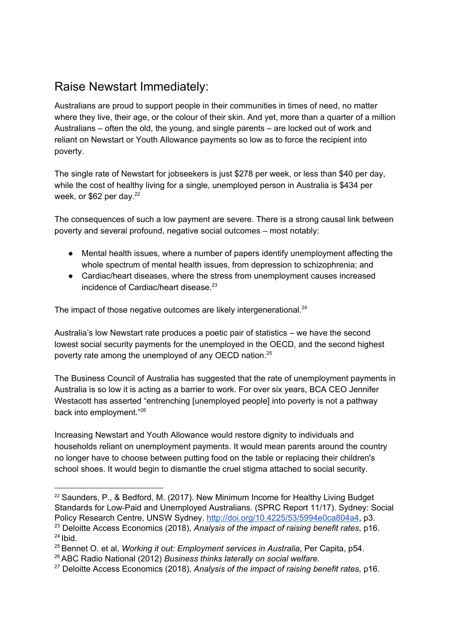### Raise Newstart Immediately:

Australians are proud to support people in their communities in times of need, no matter where they live, their age, or the colour of their skin. And yet, more than a quarter of a million Australians – often the old, the young, and single parents – are locked out of work and reliant on Newstart or Youth Allowance payments so low as to force the recipient into poverty.

The single rate of Newstart for jobseekers is just \$278 per week, or less than \$40 per day, while the cost of healthy living for a single, unemployed person in Australia is \$434 per week, or \$62 per day.<sup>22</sup>

The consequences of such a low payment are severe. There is a strong causal link between poverty and several profound, negative social outcomes – most notably:

- Mental health issues, where a number of papers identify unemployment affecting the whole spectrum of mental health issues, from depression to schizophrenia; and
- *●* Cardiac/heart diseases, where the stress from unemployment causes increased incidence of Cardiac/heart disease. 23

The impact of those negative outcomes are likely intergenerational.<sup>24</sup>

Australia's low Newstart rate produces a poetic pair of statistics – we have the second lowest social security payments for the unemployed in the OECD, and the second highest poverty rate among the unemployed of any OECD nation.<sup>25</sup>

The Business Council of Australia has suggested that the rate of unemployment payments in Australia is so low it is acting as a barrier to work. For over six years, BCA CEO Jennifer Westacott has asserted "entrenching [unemployed people] into poverty is not a pathway back into employment."<sup>26</sup>

Increasing Newstart and Youth Allowance would restore dignity to individuals and households reliant on unemployment payments. It would mean parents around the country no longer have to choose between putting food on the table or replacing their children's school shoes. It would begin to dismantle the cruel stigma attached to social security.

<sup>&</sup>lt;sup>22</sup> Saunders, P., & Bedford, M. (2017). New Minimum Income for Healthy Living Budget Standards for Low-Paid and Unemployed Australians. (SPRC Report 11/17). Sydney: Social Policy Research Centre, UNSW Sydney. http://doi.org/10.4225/53/5994e0ca804a4, p3.

<sup>23</sup> Deloitte Access Economics (2018), *Analysis of the impact of raising benefit rates*, p16.  $24$  Ibid.

<sup>25</sup>Bennet O. et al, *Working it out: Employment services in Australia*, Per Capita, p54.

<sup>26</sup>ABC Radio National (2012) *Business thinks laterally on social welfare.*

<sup>27</sup> Deloitte Access Economics (2018), *Analysis of the impact of raising benefit rates*, p16.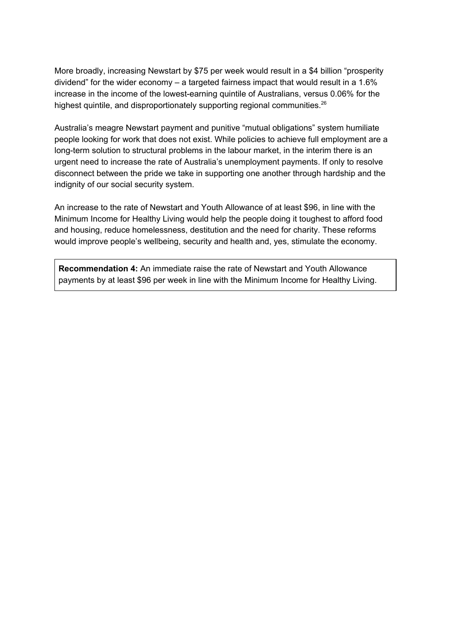More broadly, increasing Newstart by \$75 per week would result in a \$4 billion "prosperity dividend" for the wider economy – a targeted fairness impact that would result in a 1.6% increase in the income of the lowest-earning quintile of Australians, versus 0.06% for the highest quintile, and disproportionately supporting regional communities.<sup>26</sup>

Australia's meagre Newstart payment and punitive "mutual obligations" system humiliate people looking for work that does not exist. While policies to achieve full employment are a long-term solution to structural problems in the labour market, in the interim there is an urgent need to increase the rate of Australia's unemployment payments. If only to resolve disconnect between the pride we take in supporting one another through hardship and the indignity of our social security system.

An increase to the rate of Newstart and Youth Allowance of at least \$96, in line with the Minimum Income for Healthy Living would help the people doing it toughest to afford food and housing, reduce homelessness, destitution and the need for charity. These reforms would improve people's wellbeing, security and health and, yes, stimulate the economy.

**Recommendation 4:** An immediate raise the rate of Newstart and Youth Allowance payments by at least \$96 per week in line with the Minimum Income for Healthy Living.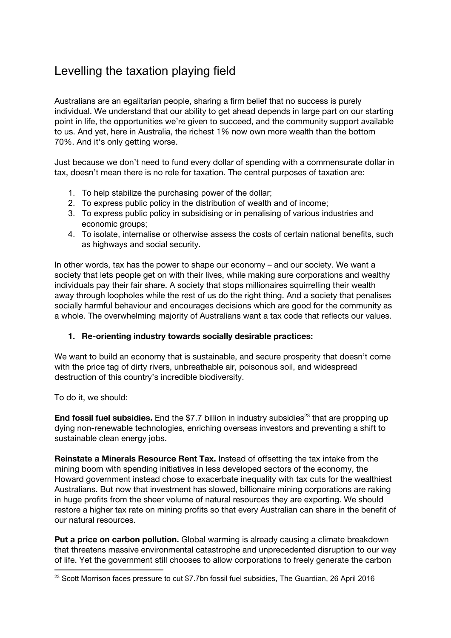### Levelling the taxation playing field

Australians are an egalitarian people, sharing a firm belief that no success is purely individual. We understand that our ability to get ahead depends in large part on our starting point in life, the opportunities we're given to succeed, and the community support available to us. And yet, here in Australia, the richest 1% now own more wealth than the bottom 70%. And it's only getting worse.

Just because we don't need to fund every dollar of spending with a commensurate dollar in tax, doesn't mean there is no role for taxation. The central purposes of taxation are:

- 1. To help stabilize the purchasing power of the dollar;
- 2. To express public policy in the distribution of wealth and of income;
- 3. To express public policy in subsidising or in penalising of various industries and economic groups;
- 4. To isolate, internalise or otherwise assess the costs of certain national benefits, such as highways and social security.

In other words, tax has the power to shape our economy – and our society. We want a society that lets people get on with their lives, while making sure corporations and wealthy individuals pay their fair share. A society that stops millionaires squirrelling their wealth away through loopholes while the rest of us do the right thing. And a society that penalises socially harmful behaviour and encourages decisions which are good for the community as a whole. The overwhelming majority of Australians want a tax code that reflects our values.

#### 1. Re-orienting industry towards socially desirable practices:

We want to build an economy that is sustainable, and secure prosperity that doesn't come with the price tag of dirty rivers, unbreathable air, poisonous soil, and widespread destruction of this country's incredible biodiversity.

To do it, we should:

End fossil fuel subsidies. End the \$7.7 billion in industry subsidies<sup>23</sup> that are propping up dying non-renewable technologies, enriching overseas investors and preventing a shift to sustainable clean energy jobs.

Reinstate a Minerals Resource Rent Tax. Instead of offsetting the tax intake from the mining boom with spending initiatives in less developed sectors of the economy, the Howard government instead chose to exacerbate inequality with tax cuts for the wealthiest Australians. But now that investment has slowed, billionaire mining corporations are raking in huge profits from the sheer volume of natural resources they are exporting. We should restore a higher tax rate on mining profits so that every Australian can share in the benefit of our natural resources.

**Put a price on carbon pollution.** Global warming is already causing a climate breakdown that threatens massive environmental catastrophe and unprecedented disruption to our way of life. Yet the government still chooses to allow corporations to freely generate the carbon

<sup>&</sup>lt;sup>23</sup> Scott Morrison faces pressure to cut \$7.7bn fossil fuel subsidies, The Guardian, 26 April 2016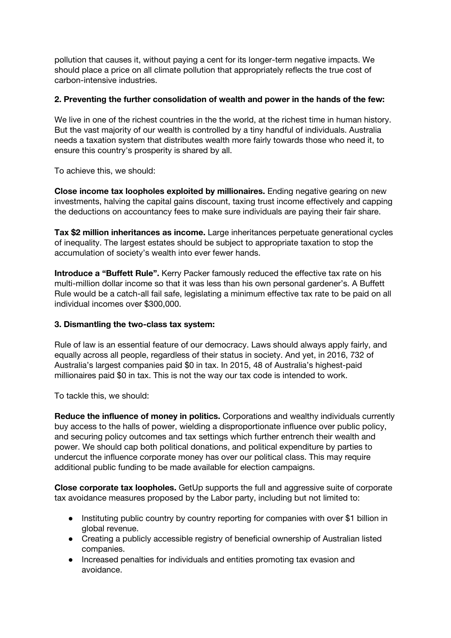pollution that causes it, without paying a cent for its longer-term negative impacts. We should place a price on all climate pollution that appropriately reflects the true cost of carbon-intensive industries.

#### 2. Preventing the further consolidation of wealth and power in the hands of the few:

We live in one of the richest countries in the the world, at the richest time in human history. But the vast majority of our wealth is controlled by a tiny handful of individuals. Australia needs a taxation system that distributes wealth more fairly towards those who need it, to ensure this country's prosperity is shared by all.

To achieve this, we should:

Close income tax loopholes exploited by millionaires. Ending negative gearing on new investments, halving the capital gains discount, taxing trust income effectively and capping the deductions on accountancy fees to make sure individuals are paying their fair share.

Tax \$2 million inheritances as income. Large inheritances perpetuate generational cycles of inequality. The largest estates should be subject to appropriate taxation to stop the accumulation of society's wealth into ever fewer hands.

Introduce a "Buffett Rule". Kerry Packer famously reduced the effective tax rate on his multi-million dollar income so that it was less than his own personal gardener's. A Buffett Rule would be a catch-all fail safe, legislating a minimum effective tax rate to be paid on all individual incomes over \$300,000.

#### 3. Dismantling the two-class tax system:

Rule of law is an essential feature of our democracy. Laws should always apply fairly, and equally across all people, regardless of their status in society. And yet, in 2016, 732 of Australia's largest companies paid \$0 in tax. In 2015, 48 of Australia's highest-paid millionaires paid \$0 in tax. This is not the way our tax code is intended to work.

To tackle this, we should:

Reduce the influence of money in politics. Corporations and wealthy individuals currently buy access to the halls of power, wielding a disproportionate influence over public policy, and securing policy outcomes and tax settings which further entrench their wealth and power. We should cap both political donations, and political expenditure by parties to undercut the influence corporate money has over our political class. This may require additional public funding to be made available for election campaigns.

Close corporate tax loopholes. GetUp supports the full and aggressive suite of corporate tax avoidance measures proposed by the Labor party, including but not limited to:

- Instituting public country by country reporting for companies with over \$1 billion in global revenue.
- Creating a publicly accessible registry of beneficial ownership of Australian listed companies.
- Increased penalties for individuals and entities promoting tax evasion and avoidance.